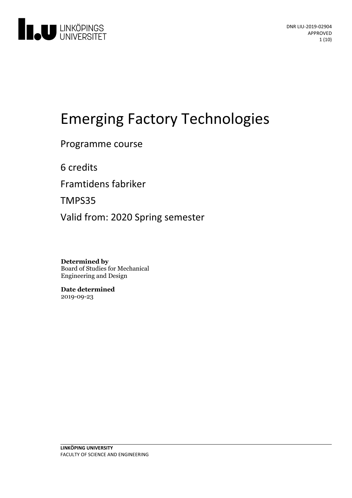

# **Emerging Factory Technologies**

Programme course

6 credits

Framtidens fabriker

TMPS35

Valid from: 2020 Spring semester

**Determined by** Board of Studies for Mechanical Engineering and Design

**Date determined** 2019-09-23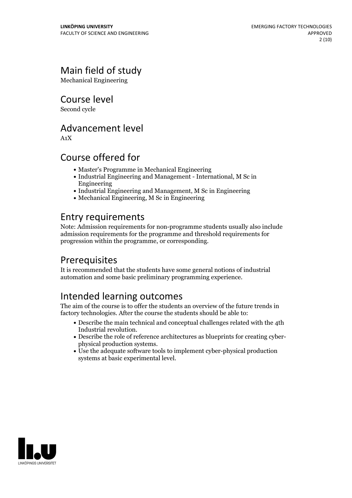# Main field of study

Mechanical Engineering

Course level

Second cycle

## Advancement level

A1X

# Course offered for

- Master's Programme in Mechanical Engineering
- Industrial Engineering and Management International, M Sc in Engineering
- Industrial Engineering and Management, M Sc in Engineering
- Mechanical Engineering, M Sc in Engineering

# Entry requirements

Note: Admission requirements for non-programme students usually also include admission requirements for the programme and threshold requirements for progression within the programme, or corresponding.

# Prerequisites

It is recommended that the students have some general notions of industrial automation and some basic preliminary programming experience.

# Intended learning outcomes

The aim of the course is to offer the students an overview of the future trends in factory technologies. After the course the students should be able to:

- Describe the main technical and conceptual challenges related with the 4th
- Industrial revolution. Describe the role ofreference architectures as blueprints for creating cyber- physical production systems. Use the adequate software tools to implement cyber-physical production
- systems at basic experimental level.

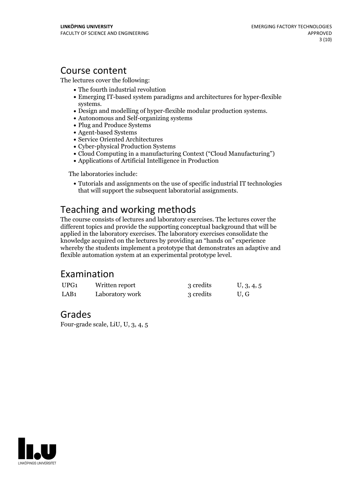### Course content

The lectures cover the following:

- The fourth industrial revolution
- Emerging IT-based system paradigms and architectures for hyper-flexible
- systems.<br>• Design and modelling of hyper-flexible modular production systems.<br>• Autonomous and Self-organizing systems
- 
- Plug and Produce Systems
- Agent-based Systems
- Service Oriented Architectures
- Cyber-physical Production Systems
- Cloud Computing in a manufacturing Context ("Cloud Manufacturing")
- Applications of Artificial Intelligence in Production

The laboratories include:

• Tutorials and assignments on the use of specific industrial IT technologies that will support the subsequent laboratorial assignments.

# Teaching and working methods

The course consists of lectures and laboratory exercises. The lectures cover the different topics and provide the supporting conceptual background that will be applied in the laboratory exercises. The laboratory exercises consolidate the knowledge acquired on the lectures by providing an "hands on" experience whereby the students implement a prototype that demonstrates an adaptive and flexible automation system at an experimental prototype level.

### Examination

| UPG1             | Written report  | 3 credits | U, 3, 4, 5 |
|------------------|-----------------|-----------|------------|
| LAB <sub>1</sub> | Laboratory work | 3 credits | U.G        |

### Grades

Four-grade scale, LiU, U, 3, 4, 5

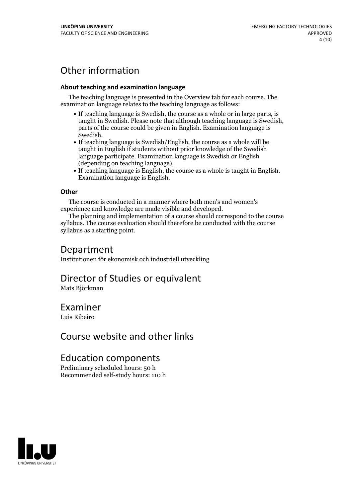# Other information

#### **About teaching and examination language**

The teaching language is presented in the Overview tab for each course. The examination language relates to the teaching language as follows:

- If teaching language is Swedish, the course as a whole or in large parts, is taught in Swedish. Please note that although teaching language is Swedish, parts of the course could be given in English. Examination language is
- Swedish.<br>• If teaching language is Swedish/English, the course as a whole will be taught in English if students without prior knowledge of the Swedish language participate. Examination language is Swedish or English
- (depending on teaching language).<br>
 If teaching language is English, the course as a whole is taught in English.<br>
Examination language is English.

#### **Other**

The course is conducted in a manner where both men's and women's

experience and knowledge are made visible and developed. The planning and implementation of <sup>a</sup> course should correspond to the course syllabus. The course evaluation should therefore be conducted with the course syllabus as a starting point.

### Department

Institutionen för ekonomisk och industriell utveckling

### Director of Studies or equivalent

Mats Björkman

### Examiner

Luis Ribeiro

## Course website and other links

### Education components

Preliminary scheduled hours: 50 h Recommended self-study hours: 110 h

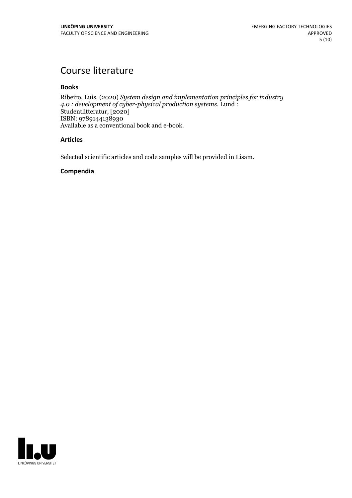# Course literature

#### **Books**

Ribeiro, Luis, (2020) *System design and implementation principles for industry 4.0 : development of cyber-physical production systems.* Lund : Studentlitteratur, [2020] ISBN: 9789144138930 Available as a conventional book and e-book.

#### **Articles**

Selected scientific articles and code samples will be provided in Lisam.

#### **Compendia**

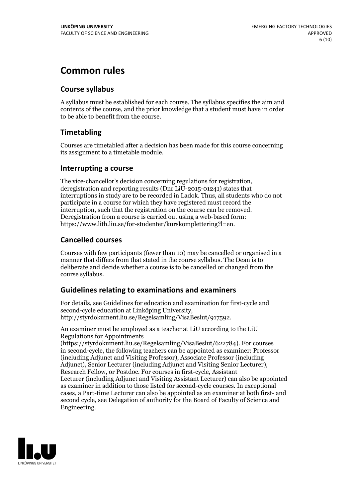# **Common rules**

### **Course syllabus**

A syllabus must be established for each course. The syllabus specifies the aim and contents of the course, and the prior knowledge that a student must have in order to be able to benefit from the course.

### **Timetabling**

Courses are timetabled after a decision has been made for this course concerning its assignment to a timetable module.

### **Interrupting a course**

The vice-chancellor's decision concerning regulations for registration, deregistration and reporting results (Dnr LiU-2015-01241) states that interruptions in study are to be recorded in Ladok. Thus, all students who do not participate in a course for which they have registered must record the interruption, such that the registration on the course can be removed. Deregistration from <sup>a</sup> course is carried outusing <sup>a</sup> web-based form: https://www.lith.liu.se/for-studenter/kurskomplettering?l=en.

### **Cancelled courses**

Courses with few participants (fewer than 10) may be cancelled or organised in a manner that differs from that stated in the course syllabus. The Dean is to deliberate and decide whether a course is to be cancelled or changed from the course syllabus.

### **Guidelines relatingto examinations and examiners**

For details, see Guidelines for education and examination for first-cycle and second-cycle education at Linköping University, http://styrdokument.liu.se/Regelsamling/VisaBeslut/917592.

An examiner must be employed as a teacher at LiU according to the LiU Regulations for Appointments

(https://styrdokument.liu.se/Regelsamling/VisaBeslut/622784). For courses in second-cycle, the following teachers can be appointed as examiner: Professor (including Adjunct and Visiting Professor), Associate Professor (including Adjunct), Senior Lecturer (including Adjunct and Visiting Senior Lecturer), Research Fellow, or Postdoc. For courses in first-cycle, Assistant Lecturer (including Adjunct and Visiting Assistant Lecturer) can also be appointed as examiner in addition to those listed for second-cycle courses. In exceptional cases, a Part-time Lecturer can also be appointed as an examiner at both first- and second cycle, see Delegation of authority for the Board of Faculty of Science and Engineering.

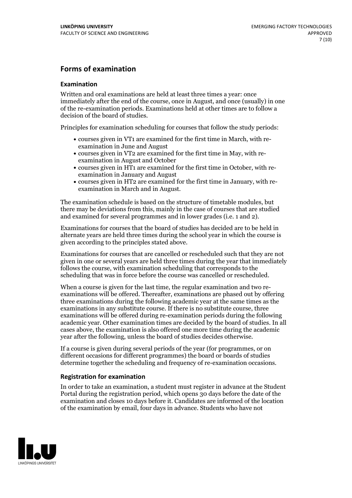### **Forms of examination**

#### **Examination**

Written and oral examinations are held at least three times a year: once immediately after the end of the course, once in August, and once (usually) in one of the re-examination periods. Examinations held at other times are to follow a decision of the board of studies.

Principles for examination scheduling for courses that follow the study periods:

- courses given in VT1 are examined for the first time in March, with re-examination in June and August
- courses given in VT2 are examined for the first time in May, with re-examination in August and October
- courses given in HT1 are examined for the first time in October, with re-examination in January and August
- courses given in HT2 are examined for the first time in January, with re-examination in March and in August.

The examination schedule is based on the structure of timetable modules, but there may be deviations from this, mainly in the case of courses that are studied and examined for several programmes and in lower grades (i.e. 1 and 2).

Examinations for courses that the board of studies has decided are to be held in alternate years are held three times during the school year in which the course is given according to the principles stated above.

Examinations for courses that are cancelled orrescheduled such that they are not given in one or several years are held three times during the year that immediately follows the course, with examination scheduling that corresponds to the scheduling that was in force before the course was cancelled or rescheduled.

When a course is given for the last time, the regular examination and two re-<br>examinations will be offered. Thereafter, examinations are phased out by offering three examinations during the following academic year at the same times as the examinations in any substitute course. If there is no substitute course, three examinations will be offered during re-examination periods during the following academic year. Other examination times are decided by the board of studies. In all cases above, the examination is also offered one more time during the academic year after the following, unless the board of studies decides otherwise.

If a course is given during several periods of the year (for programmes, or on different occasions for different programmes) the board or boards of studies determine together the scheduling and frequency of re-examination occasions.

#### **Registration for examination**

In order to take an examination, a student must register in advance at the Student Portal during the registration period, which opens 30 days before the date of the examination and closes 10 days before it. Candidates are informed of the location of the examination by email, four days in advance. Students who have not

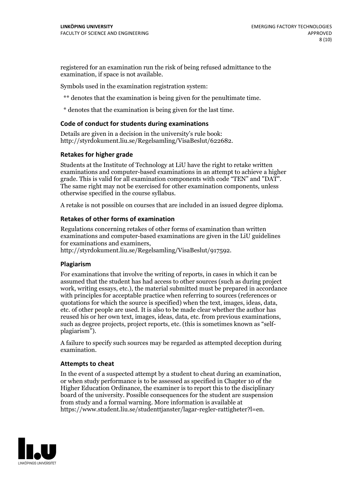registered for an examination run the risk of being refused admittance to the examination, if space is not available.

Symbols used in the examination registration system:

\*\* denotes that the examination is being given for the penultimate time.

\* denotes that the examination is being given for the last time.

#### **Code of conduct for students during examinations**

Details are given in a decision in the university's rule book: http://styrdokument.liu.se/Regelsamling/VisaBeslut/622682.

#### **Retakes for higher grade**

Students at the Institute of Technology at LiU have the right to retake written examinations and computer-based examinations in an attempt to achieve a higher grade. This is valid for all examination components with code "TEN" and "DAT". The same right may not be exercised for other examination components, unless otherwise specified in the course syllabus.

A retake is not possible on courses that are included in an issued degree diploma.

#### **Retakes of other forms of examination**

Regulations concerning retakes of other forms of examination than written examinations and computer-based examinations are given in the LiU guidelines

http://styrdokument.liu.se/Regelsamling/VisaBeslut/917592.

#### **Plagiarism**

For examinations that involve the writing of reports, in cases in which it can be assumed that the student has had access to other sources (such as during project work, writing essays, etc.), the material submitted must be prepared in accordance with principles for acceptable practice when referring to sources (references or quotations for which the source is specified) when the text, images, ideas, data,  $\vec{e}$  etc. of other people are used. It is also to be made clear whether the author has reused his or her own text, images, ideas, data, etc. from previous examinations, such as degree projects, project reports, etc. (this is sometimes known as "self- plagiarism").

A failure to specify such sources may be regarded as attempted deception during examination.

#### **Attempts to cheat**

In the event of <sup>a</sup> suspected attempt by <sup>a</sup> student to cheat during an examination, or when study performance is to be assessed as specified in Chapter <sup>10</sup> of the Higher Education Ordinance, the examiner is to report this to the disciplinary board of the university. Possible consequences for the student are suspension from study and a formal warning. More information is available at https://www.student.liu.se/studenttjanster/lagar-regler-rattigheter?l=en.

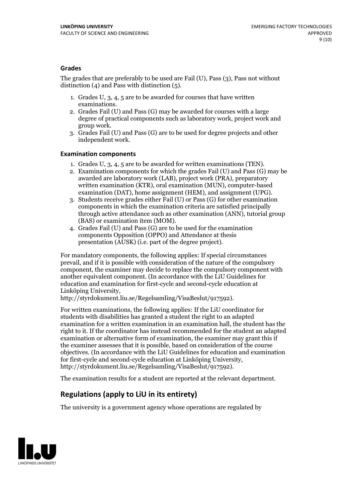#### **Grades**

The grades that are preferably to be used are Fail (U), Pass (3), Pass not without distinction  $(4)$  and Pass with distinction  $(5)$ .

- 1. Grades U, 3, 4, 5 are to be awarded for courses that have written
- examinations. 2. Grades Fail (U) and Pass (G) may be awarded for courses with <sup>a</sup> large degree of practical components such as laboratory work, project work and group work. 3. Grades Fail (U) and Pass (G) are to be used for degree projects and other
- independent work.

#### **Examination components**

- 
- 1. Grades U, 3, 4, <sup>5</sup> are to be awarded for written examinations (TEN). 2. Examination components for which the grades Fail (U) and Pass (G) may be awarded are laboratory work (LAB), project work (PRA), preparatory written examination (KTR), oral examination (MUN), computer-based
- examination (DAT), home assignment (HEM), and assignment (UPG). 3. Students receive grades either Fail (U) or Pass (G) for other examination components in which the examination criteria are satisfied principally through active attendance such as other examination (ANN), tutorial group
- (BAS) or examination item (MOM). 4. Grades Fail (U) and Pass (G) are to be used for the examination components Opposition (OPPO) and Attendance at thesis presentation (AUSK) (i.e. part of the degree project).

For mandatory components, the following applies: If special circumstances prevail, and if it is possible with consideration of the nature of the compulsory component, the examiner may decide to replace the compulsory component with another equivalent component. (In accordance with the LiU Guidelines for education and examination for first-cycle and second-cycle education at Linköping University, http://styrdokument.liu.se/Regelsamling/VisaBeslut/917592).

For written examinations, the following applies: If the LiU coordinator for students with disabilities has granted a student the right to an adapted examination for a written examination in an examination hall, the student has the right to it. If the coordinator has instead recommended for the student an adapted examination or alternative form of examination, the examiner may grant this if the examiner assesses that it is possible, based on consideration of the course objectives. (In accordance with the LiU Guidelines for education and examination for first-cycle and second-cycle education at Linköping University, http://styrdokument.liu.se/Regelsamling/VisaBeslut/917592).

The examination results for a student are reported at the relevant department.

### **Regulations (applyto LiU in its entirety)**

The university is a government agency whose operations are regulated by